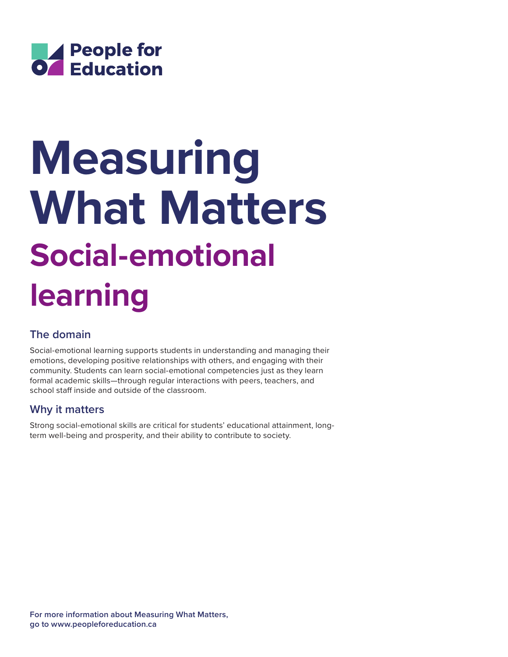

# **Social-emotional learning Measuring What Matters**

# **The domain**

Social-emotional learning supports students in understanding and managing their emotions, developing positive relationships with others, and engaging with their community. Students can learn social-emotional competencies just as they learn formal academic skills—through regular interactions with peers, teachers, and school staff inside and outside of the classroom.

## **Why it matters**

Strong social-emotional skills are critical for students' educational attainment, longterm well-being and prosperity, and their ability to contribute to society.